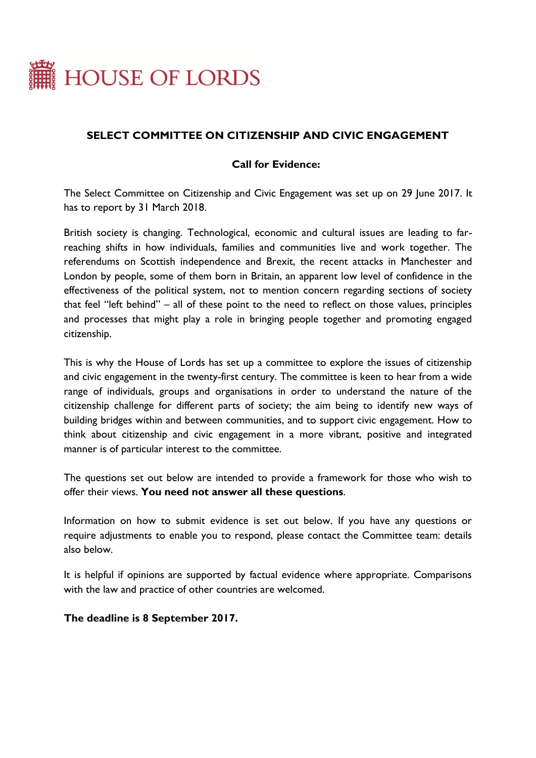

# **SELECT COMMITTEE ON CITIZENSHIP AND CIVIC ENGAGEMENT**

## **Call for Evidence:**

The Select Committee on Citizenship and Civic Engagement was set up on 29 June 2017. It has to report by 31 March 2018.

British society is changing. Technological, economic and cultural issues are leading to farreaching shifts in how individuals, families and communities live and work together. The referendums on Scottish independence and Brexit, the recent attacks in Manchester and London by people, some of them born in Britain, an apparent low level of confidence in the effectiveness of the political system, not to mention concern regarding sections of society that feel "left behind" – all of these point to the need to reflect on those values, principles and processes that might play a role in bringing people together and promoting engaged citizenship.

This is why the House of Lords has set up a committee to explore the issues of citizenship and civic engagement in the twenty-first century. The committee is keen to hear from a wide range of individuals, groups and organisations in order to understand the nature of the citizenship challenge for different parts of society; the aim being to identify new ways of building bridges within and between communities, and to support civic engagement. How to think about citizenship and civic engagement in a more vibrant, positive and integrated manner is of particular interest to the committee.

The questions set out below are intended to provide a framework for those who wish to offer their views. **You need not answer all these questions**.

Information on how to submit evidence is set out below. If you have any questions or require adjustments to enable you to respond, please contact the Committee team: details also below.

It is helpful if opinions are supported by factual evidence where appropriate. Comparisons with the law and practice of other countries are welcomed.

#### **The deadline is 8 September 2017.**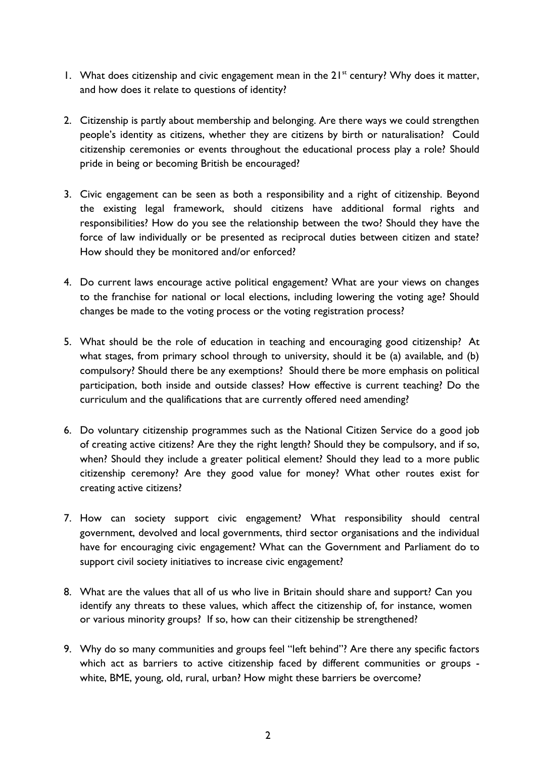- 1. What does citizenship and civic engagement mean in the  $21<sup>st</sup>$  century? Why does it matter, and how does it relate to questions of identity?
- 2. Citizenship is partly about membership and belonging. Are there ways we could strengthen people's identity as citizens, whether they are citizens by birth or naturalisation? Could citizenship ceremonies or events throughout the educational process play a role? Should pride in being or becoming British be encouraged?
- 3. Civic engagement can be seen as both a responsibility and a right of citizenship. Beyond the existing legal framework, should citizens have additional formal rights and responsibilities? How do you see the relationship between the two? Should they have the force of law individually or be presented as reciprocal duties between citizen and state? How should they be monitored and/or enforced?
- 4. Do current laws encourage active political engagement? What are your views on changes to the franchise for national or local elections, including lowering the voting age? Should changes be made to the voting process or the voting registration process?
- 5. What should be the role of education in teaching and encouraging good citizenship? At what stages, from primary school through to university, should it be (a) available, and (b) compulsory? Should there be any exemptions? Should there be more emphasis on political participation, both inside and outside classes? How effective is current teaching? Do the curriculum and the qualifications that are currently offered need amending?
- 6. Do voluntary citizenship programmes such as the National Citizen Service do a good job of creating active citizens? Are they the right length? Should they be compulsory, and if so, when? Should they include a greater political element? Should they lead to a more public citizenship ceremony? Are they good value for money? What other routes exist for creating active citizens?
- 7. How can society support civic engagement? What responsibility should central government, devolved and local governments, third sector organisations and the individual have for encouraging civic engagement? What can the Government and Parliament do to support civil society initiatives to increase civic engagement?
- 8. What are the values that all of us who live in Britain should share and support? Can you identify any threats to these values, which affect the citizenship of, for instance, women or various minority groups? If so, how can their citizenship be strengthened?
- 9. Why do so many communities and groups feel "left behind"? Are there any specific factors which act as barriers to active citizenship faced by different communities or groups white, BME, young, old, rural, urban? How might these barriers be overcome?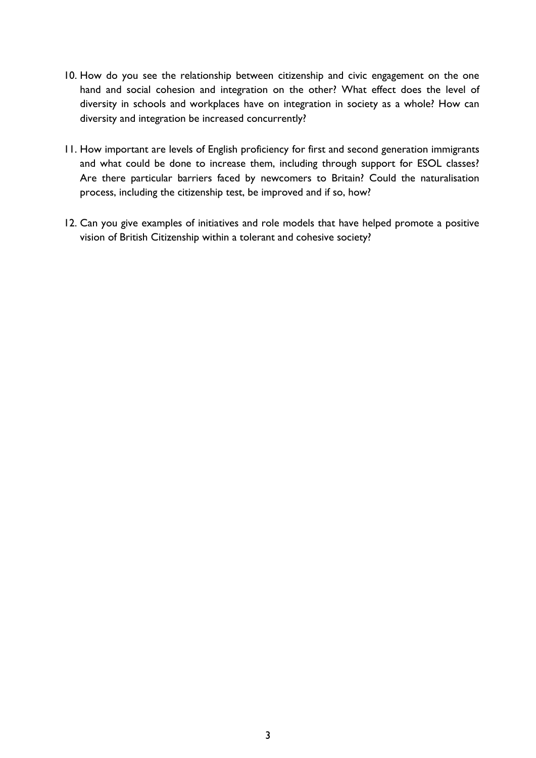- 10. How do you see the relationship between citizenship and civic engagement on the one hand and social cohesion and integration on the other? What effect does the level of diversity in schools and workplaces have on integration in society as a whole? How can diversity and integration be increased concurrently?
- 11. How important are levels of English proficiency for first and second generation immigrants and what could be done to increase them, including through support for ESOL classes? Are there particular barriers faced by newcomers to Britain? Could the naturalisation process, including the citizenship test, be improved and if so, how?
- 12. Can you give examples of initiatives and role models that have helped promote a positive vision of British Citizenship within a tolerant and cohesive society?